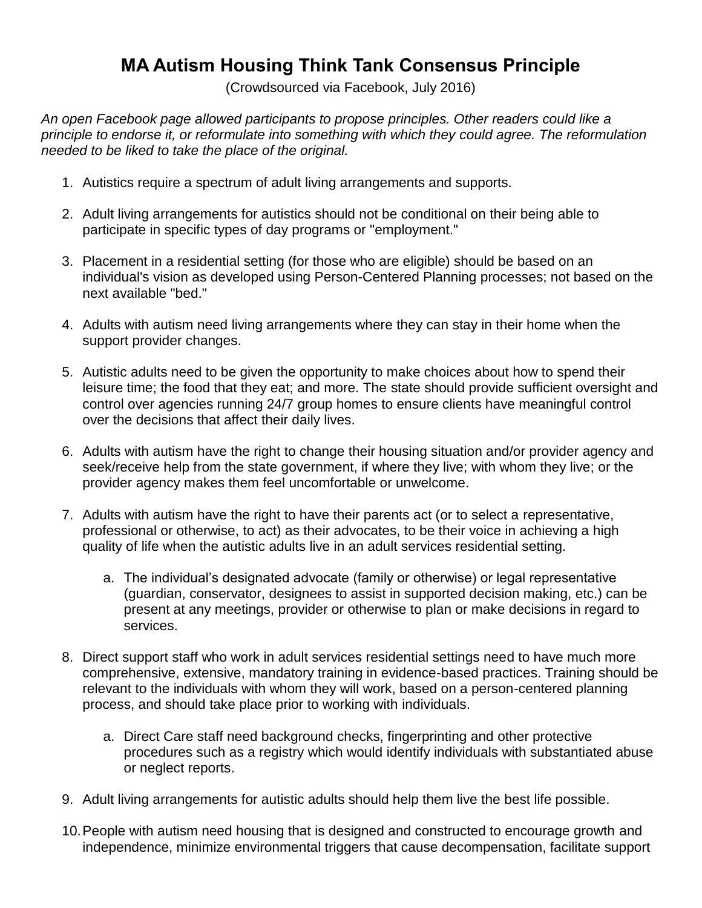## **MA Autism Housing Think Tank Consensus Principle**

(Crowdsourced via Facebook, July 2016)

*An open Facebook page allowed participants to propose principles. Other readers could like a principle to endorse it, or reformulate into something with which they could agree. The reformulation needed to be liked to take the place of the original.*

- 1. Autistics require a spectrum of adult living arrangements and supports.
- 2. Adult living arrangements for autistics should not be conditional on their being able to participate in specific types of day programs or "employment."
- 3. Placement in a residential setting (for those who are eligible) should be based on an individual's vision as developed using Person-Centered Planning processes; not based on the next available "bed."
- 4. Adults with autism need living arrangements where they can stay in their home when the support provider changes.
- 5. Autistic adults need to be given the opportunity to make choices about how to spend their leisure time; the food that they eat; and more. The state should provide sufficient oversight and control over agencies running 24/7 group homes to ensure clients have meaningful control over the decisions that affect their daily lives.
- 6. Adults with autism have the right to change their housing situation and/or provider agency and seek/receive help from the state government, if where they live; with whom they live; or the provider agency makes them feel uncomfortable or unwelcome.
- 7. Adults with autism have the right to have their parents act (or to select a representative, professional or otherwise, to act) as their advocates, to be their voice in achieving a high quality of life when the autistic adults live in an adult services residential setting.
	- a. The individual's designated advocate (family or otherwise) or legal representative (guardian, conservator, designees to assist in supported decision making, etc.) can be present at any meetings, provider or otherwise to plan or make decisions in regard to services.
- 8. Direct support staff who work in adult services residential settings need to have much more comprehensive, extensive, mandatory training in evidence-based practices. Training should be relevant to the individuals with whom they will work, based on a person-centered planning process, and should take place prior to working with individuals.
	- a. Direct Care staff need background checks, fingerprinting and other protective procedures such as a registry which would identify individuals with substantiated abuse or neglect reports.
- 9. Adult living arrangements for autistic adults should help them live the best life possible.
- 10.People with autism need housing that is designed and constructed to encourage growth and independence, minimize environmental triggers that cause decompensation, facilitate support